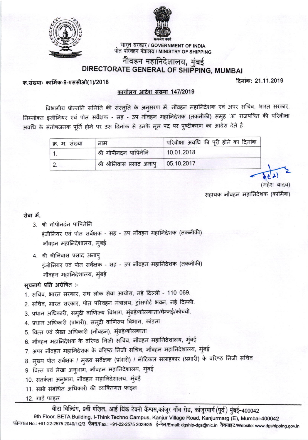



भारत सरकार / GOVERNMENT OF INDIA पोत परिवहन मंत्रालय / MINISTRY OF SHIPPING

## नौवहन महानिदेशालय, मुंबई DIRECTORATE GENERAL OF SHIPPING, MUMBAI

फ संख्याः कार्मिक-9-एससीओ(1)/2018

दिनांक: 21.11.2019

#### कार्यालय आदेश संख्या 147/2019

विभागीय प्रोन्नति समिति की संस्तुति के अनुसरण में, नौवहन महानिदेशक एवं अपर सचिव, भारत सरकार, निम्नोक्त इंजीनियर एवं पोत सर्वेक्षक - सह - उप नौवहन महानिदेशक (तकनीकी) समुह 'अ' राजपत्रित की परिवीक्षा अवधि के संतोषजनक पूर्ति होने पर उस दिनांक से उनके मूल पद पर पुष्टीकरण का आदेश देते है.

| क्र. म. संख्या | नाम                                      | परिवीक्षा अवधि की पूरी होने का दिनांक |
|----------------|------------------------------------------|---------------------------------------|
|                | श्री गोपीनदंन पापिनेनि                   | 10.01.2018                            |
|                | श्री श्रीनिवास प्रसाद अनापु   05.10.2017 |                                       |

सहायक नौवहन महानिदेशक (कार्मिक)

#### सेवा में.

- 3. श्री गोपीनदंन पापिनेनि इंजीनियर एवं पोत सर्वेक्षक - सह - उप नौवहन महानिदेशक (तकनीकी) नौवहन महानिदेशालय, मुंबई
- 4. श्री श्रीनिवास प्रसाद अनाप् इंजीनियर एवं पोत सर्वेक्षक - सह - उप नौवहन महानिदेशक (तकनीकी) नौवहन महानिदेशालय, मुंबई

#### सूचनार्थ प्रति अग्रेषित :-

- 1. सचिव, भारत सरकार, संघ लोक सेवा आयोग, नई दिल्ली 110 069.
- 2. सचिव, भारत सरकार, पोत परिवहन मंत्रालय, ट्रांसपोर्ट भवन, नई दिल्ली.
- 3. प्रधान अधिकारी, समुद्री वाणिज्य विभाग, मुंबई/कोलकाता/चेन्नई/कोच्ची.
- 4. प्रधान अधिकारी (प्रभारी), समुद्री वाणिज्य विभाग, कांडला
- 5. वित्त एवं लेखा अधिकारी (नौवहन), मुंबई/कोलकाता
- 6. नौवहन महानिदेशक के वरिष्ठ निजी सचिव, नौवहन महानिदेशालय, मुंबई
- 7. अपर नौवहन महानिदेशक के वरिष्ठ निजी सचिव, नौवहन महानिदेशालय, मुंबई
- 8. मुख्य पोत सर्वेक्षक / मुख्य सर्वेक्षक (प्रभारी) / नॉटिकल सलाहकार (प्रभारी) के वरिष्ठ निजी सचिव
- 9. वित्त एवं लेखा अनुभाग, नौवहन महानिदेशालय, मुंबई
- 10. सतर्कता अनुभाग, नौवहन महानिदेशालय, मुंबई
- 11. सभी संबंधित अधिकारी की व्यक्तिगत फाइल

12. गार्ड फाइल

वीटा बिल्डिंग, 9वीं मंज़िल, आई थिंक टेक्नो कैम्पस,कांजूर गाँव रोड, कांजूरमार्ग (पूर्व) मुंबई-400042

9th Floor, BETA Building, I-Think Techno Campus, Kanjur Village Road, Kanjurmarg (E), Mumbai-400042 फ़ोन/Tel No.: +91-22-2575 2040/1/2/3 फ़ैक्स/Fax.: +91-22-2575 2029/35 ई-मेल/Email: dgship-dgs@nic.in वैबसाइट/Website: www.dgshipping.gov.in